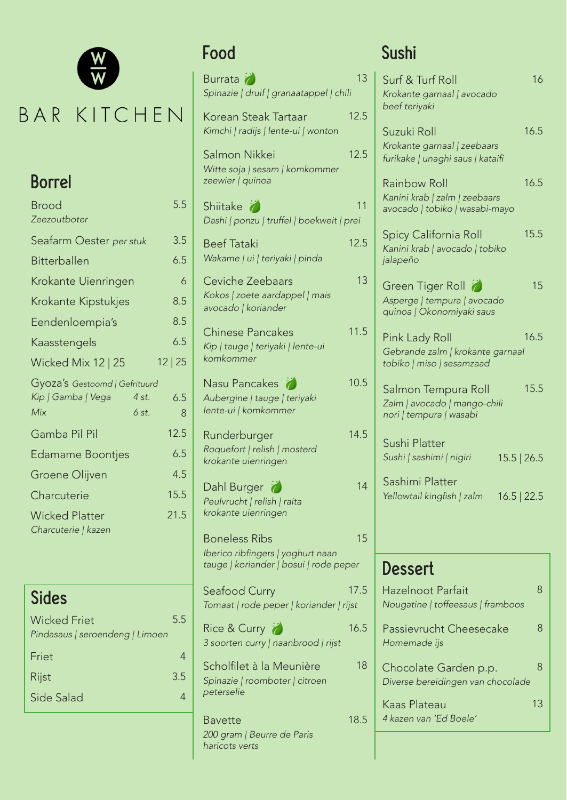

# BAR KITCHEN

# *zeewier | quinoa* Borrel

| <b>Brood</b>                                                                 | 5.5      |
|------------------------------------------------------------------------------|----------|
| Zeezoutboter                                                                 |          |
| Seafarm Oester per stuk                                                      | 3.5      |
| Bitterballen                                                                 | 6.5      |
| Krokante Uienringen                                                          | 6        |
| Krokante Kipstukjes                                                          | 8.5      |
| Eendenloempia's                                                              | 8.5      |
| Kaasstengels                                                                 | 6.5      |
| Wicked Mix 12   25                                                           | 12 25    |
| Gyoza's Gestoomd   Gefrituurd<br>Kip   Gamba   Vega<br>4 st.<br>Mix<br>6 st. | 6.5<br>8 |
| Gamba Pil Pil                                                                | 12.5     |
| <b>Edamame Boontjes</b>                                                      | 6.5      |
| Groene Olijven                                                               | 4.5      |
| Charcuterie                                                                  | 15.5     |
| <b>Wicked Platter</b><br>Charcuterie   kazen                                 | 21.5     |
|                                                                              |          |

| Sides                           |     |
|---------------------------------|-----|
| <b>Wicked Friet</b>             | 5.5 |
| Pindasaus   seroendeng   Limoen |     |
| Friet                           | 4   |
| Rijst                           | 3.5 |
| Side Salad                      | 4   |

| Burrata<br>Spinazie   druif   granaatappel   chili                                                  | 13   |
|-----------------------------------------------------------------------------------------------------|------|
| Korean Steak Tartaar<br>Kimchi   radijs   lente-ui   wonton                                         | 12.5 |
| Salmon Nikkei<br>Witte soja   sesam   komkommer<br>zeewier   quinoa                                 | 12.5 |
| Shiitake $\bullet$<br>Dashi   ponzu   truffel   boekweit   prei                                     | 11   |
| <b>Beef Tataki</b><br>Wakame   ui   teriyaki   pinda                                                | 12.5 |
| Ceviche Zeebaars<br>Kokos   zoete aardappel   mais<br>avocado   koriander                           | 13   |
| <b>Chinese Pancakes</b><br>Kip   tauge   teriyaki   lente-ui<br>komkommer                           | 11.5 |
| Nasu Pancakes<br>Aubergine   tauge   teriyaki<br>lente-ui   komkommer                               | 10.5 |
| Runderburger<br>Roquefort   relish   mosterd<br>krokante uienringen                                 | 14.5 |
| Dahl Burger<br>Peulvrucht   relish   raita<br>krokante uienringen                                   | 14   |
| <b>Boneless Ribs</b><br>Iberico ribfingers   yoghurt naan<br>tauge   koriander   bosui   rode peper | 15   |
| Seafood Curry<br>Tomaat   rode peper   koriander   rijst                                            | 17.5 |
| Rice & Curry<br>3 soorten curry   naanbrood   rijst                                                 | 16.5 |
| Scholfilet à la Meunière<br>Spinazie   roomboter   citroen<br>peterselie                            | 18   |
| Bavette<br>200 gram   Beurre de Paris<br>haricots verts                                             | 18.5 |

# Food Sushi

| 16<br>Surf & Turf Roll<br>Krokante garnaal   avocado<br>beef teriyaki                   |
|-----------------------------------------------------------------------------------------|
| 16.5<br>Suzuki Roll<br>Krokante garnaal   zeebaars<br>furikake   unaghi saus   kataifi  |
| 16.5<br>Rainbow Roll<br>Kanini krab   zalm   zeebaars<br>avocado   tobiko   wasabi-mayo |
| 15.5<br>Spicy California Roll<br>Kanini krab   avocado   tobiko<br>jalapeño             |
| 15<br>Green Tiger Roll<br>Asperge   tempura   avocado<br>quinoa   Okonomiyaki saus      |
| 16.5<br>Pink Lady Roll<br>Gebrande zalm   krokante garnaal<br>tobiko   miso   sesamzaad |
| 15.5<br>Salmon Tempura Roll<br>Zalm   avocado   mango-chili<br>nori   tempura   wasabi  |
| Sushi Platter<br>Sushi   sashimi   nigiri<br>15.5   26.5                                |
| Sashimi Platter<br>Yellowtail kingfish   zalm<br>$16.5$   22.5                          |
|                                                                                         |
| Dessert                                                                                 |
| 8<br>Hazelnoot Parfait<br>Nougatine   toffeesaus   framboos                             |
| 8<br>Passievrucht Cheesecake<br>Homemade ijs                                            |
| 8<br>Chocolate Garden p.p.<br>Diverse bereidingen van chocolade                         |
| Kaas Plateau<br>13<br>4 kazen van 'Ed Boele'                                            |